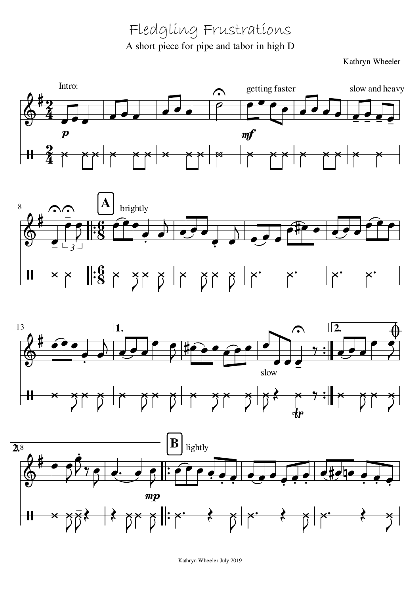Fledgling Frustrations A short piece for pipe and tabor in high D

Kathryn Wheeler









Kathryn Wheeler July 2019